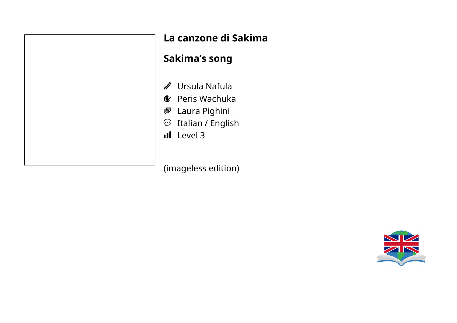| La     |
|--------|
| Sal    |
|        |
| グモ じょう |
|        |
|        |
|        |

# **La canzone di Sakima**

#### **Sakima's song**

- Ursula Nafula
- Peris Wachuka
- Laura Pighini
- Italian / English
- Level 3

(imageless edition)

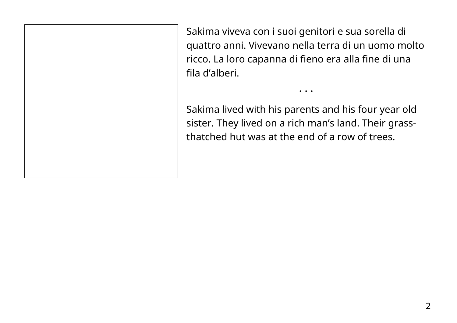Sakima viveva con i suoi genitori e sua sorella di quattro anni. Vivevano nella terra di un uomo molto ricco. La loro capanna di fieno era alla fine di una fila d'alberi.

• • •

Sakima lived with his parents and his four year old sister. They lived on a rich man's land. Their grassthatched hut was at the end of a row of trees.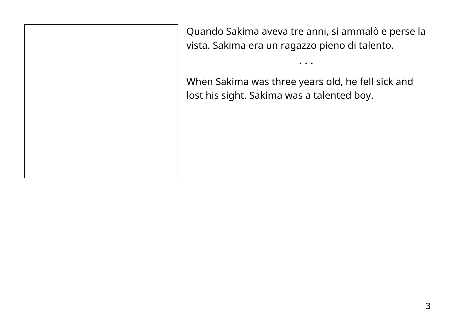Quando Sakima aveva tre anni, si ammalò e perse la vista. Sakima era un ragazzo pieno di talento.

• • •

When Sakima was three years old, he fell sick and lost his sight. Sakima was a talented boy.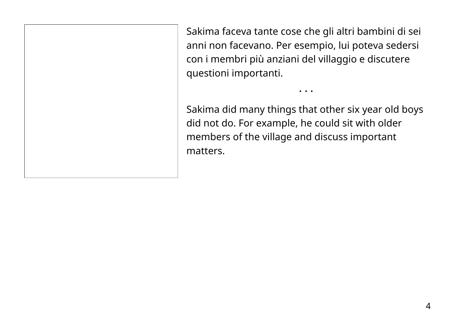Sakima faceva tante cose che gli altri bambini di sei anni non facevano. Per esempio, lui poteva sedersi con i membri più anziani del villaggio e discutere questioni importanti.

• • •

Sakima did many things that other six year old boys did not do. For example, he could sit with older members of the village and discuss important matters.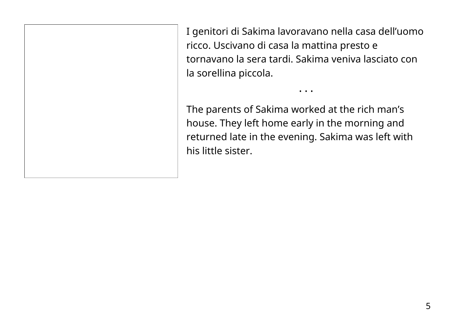I genitori di Sakima lavoravano nella casa dell'uomo ricco. Uscivano di casa la mattina presto e tornavano la sera tardi. Sakima veniva lasciato con la sorellina piccola.

• • •

The parents of Sakima worked at the rich man's house. They left home early in the morning and returned late in the evening. Sakima was left with his little sister.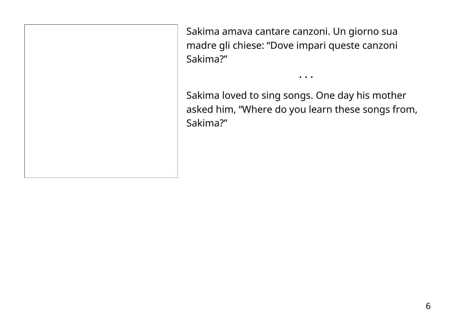Sakima amava cantare canzoni. Un giorno sua madre gli chiese: "Dove impari queste canzoni Sakima?"

Sakima loved to sing songs. One day his mother asked him, "Where do you learn these songs from, Sakima?"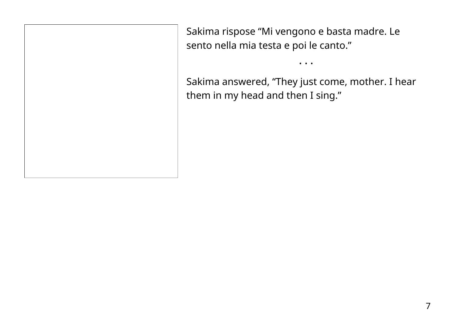Sakima rispose "Mi vengono e basta madre. Le sento nella mia testa e poi le canto."

Sakima answered, "They just come, mother. I hear them in my head and then I sing."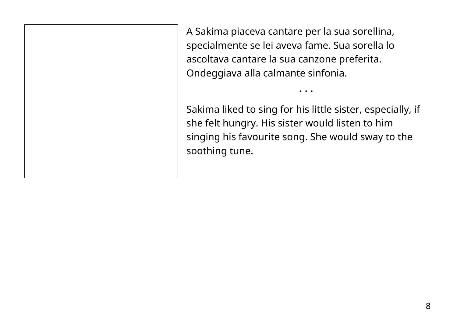A Sakima piaceva cantare per la sua sorellina, specialmente se lei aveva fame. Sua sorella lo ascoltava cantare la sua canzone preferita. Ondeggiava alla calmante sinfonia.

Sakima liked to sing for his little sister, especially, if she felt hungry. His sister would listen to him singing his favourite song. She would sway to the soothing tune.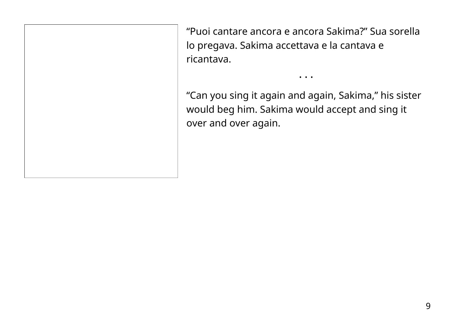"Puoi cantare ancora e ancora Sakima?" Sua sorella lo pregava. Sakima accettava e la cantava e ricantava.

"Can you sing it again and again, Sakima," his sister would beg him. Sakima would accept and sing it over and over again.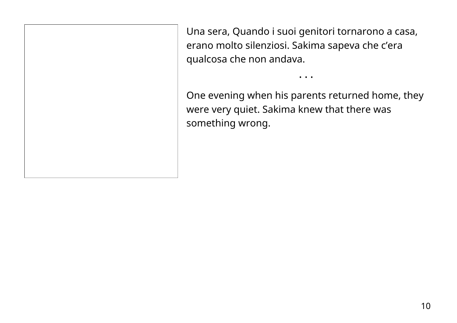Una sera, Quando i suoi genitori tornarono a casa, erano molto silenziosi. Sakima sapeva che c'era qualcosa che non andava.

One evening when his parents returned home, they were very quiet. Sakima knew that there was something wrong.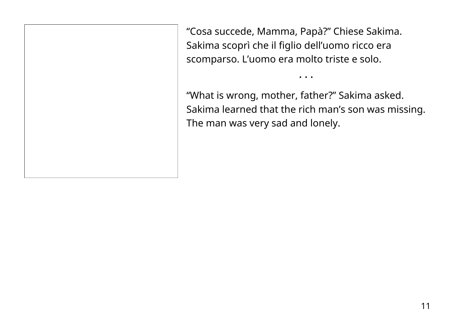"Cosa succede, Mamma, Papà?" Chiese Sakima. Sakima scoprì che il figlio dell'uomo ricco era scomparso. L'uomo era molto triste e solo.

"What is wrong, mother, father?" Sakima asked. Sakima learned that the rich man's son was missing. The man was very sad and lonely.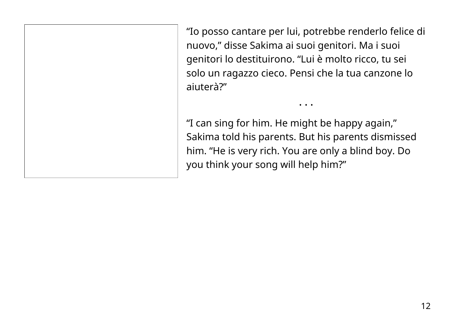"Io posso cantare per lui, potrebbe renderlo felice di nuovo," disse Sakima ai suoi genitori. Ma i suoi genitori lo destituirono. "Lui è molto ricco, tu sei solo un ragazzo cieco. Pensi che la tua canzone lo aiuterà?"

• • •

"I can sing for him. He might be happy again," Sakima told his parents. But his parents dismissed him. "He is very rich. You are only a blind boy. Do you think your song will help him?"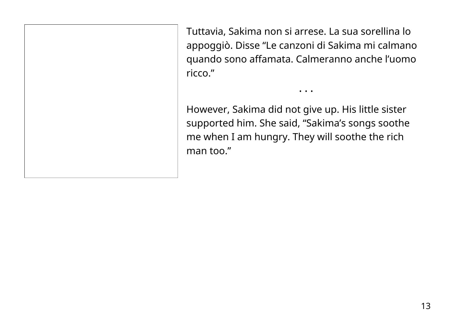Tuttavia, Sakima non si arrese. La sua sorellina lo appoggiò. Disse "Le canzoni di Sakima mi calmano quando sono affamata. Calmeranno anche l'uomo ricco."

• • •

However, Sakima did not give up. His little sister supported him. She said, "Sakima's songs soothe me when I am hungry. They will soothe the rich man too."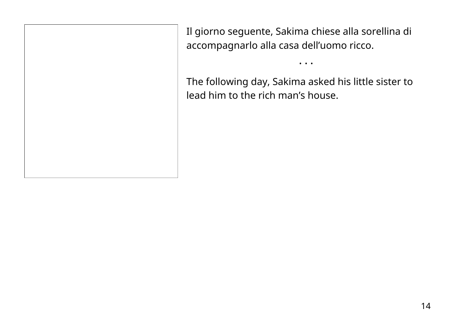Il giorno seguente, Sakima chiese alla sorellina di accompagnarlo alla casa dell'uomo ricco.

The following day, Sakima asked his little sister to lead him to the rich man's house.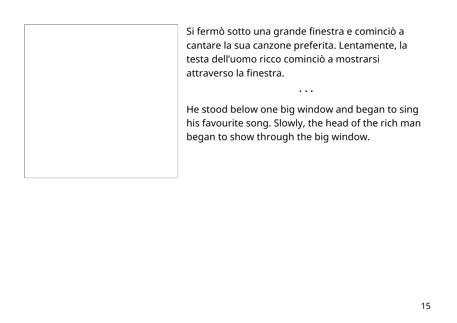Si fermò sotto una grande finestra e cominciò a cantare la sua canzone preferita. Lentamente, la testa dell'uomo ricco cominciò a mostrarsi attraverso la finestra.

He stood below one big window and began to sing his favourite song. Slowly, the head of the rich man began to show through the big window.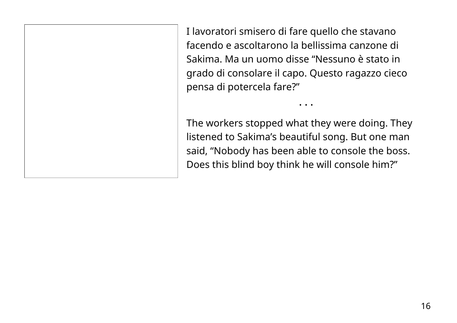I lavoratori smisero di fare quello che stavano facendo e ascoltarono la bellissima canzone di Sakima. Ma un uomo disse "Nessuno è stato in grado di consolare il capo. Questo ragazzo cieco pensa di potercela fare?"

The workers stopped what they were doing. They listened to Sakima's beautiful song. But one man said, "Nobody has been able to console the boss. Does this blind boy think he will console him?"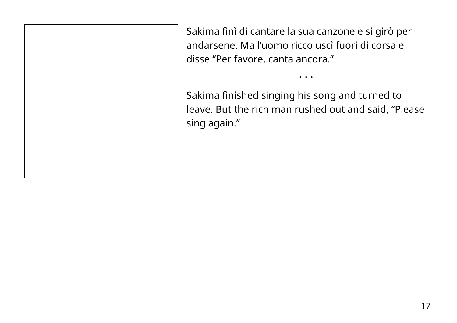Sakima finì di cantare la sua canzone e si girò per andarsene. Ma l'uomo ricco uscì fuori di corsa e disse "Per favore, canta ancora."

Sakima finished singing his song and turned to leave. But the rich man rushed out and said, "Please sing again."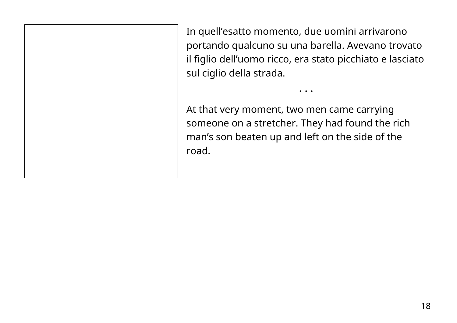In quell'esatto momento, due uomini arrivarono portando qualcuno su una barella. Avevano trovato il figlio dell'uomo ricco, era stato picchiato e lasciato sul ciglio della strada.

• • •

At that very moment, two men came carrying someone on a stretcher. They had found the rich man's son beaten up and left on the side of the road.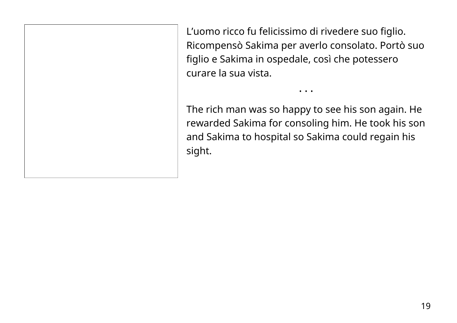L'uomo ricco fu felicissimo di rivedere suo figlio. Ricompensò Sakima per averlo consolato. Portò suo figlio e Sakima in ospedale, così che potessero curare la sua vista.

The rich man was so happy to see his son again. He rewarded Sakima for consoling him. He took his son and Sakima to hospital so Sakima could regain his sight.